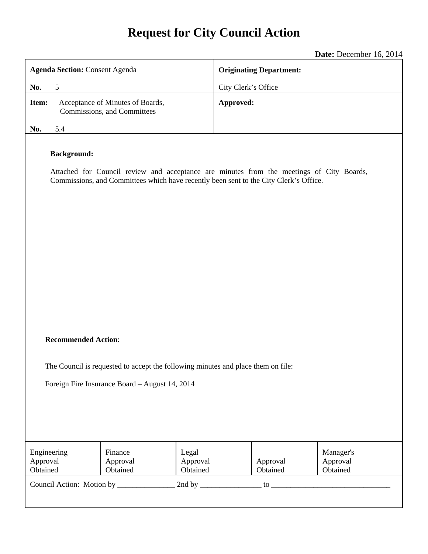# **Request for City Council Action**

**Date:** December 16, 2014

| <b>Agenda Section: Consent Agenda</b>                                                                                                                                                                   | <b>Originating Department:</b>                            |
|---------------------------------------------------------------------------------------------------------------------------------------------------------------------------------------------------------|-----------------------------------------------------------|
| 5<br>No.                                                                                                                                                                                                | City Clerk's Office                                       |
| Acceptance of Minutes of Boards,<br>Item:<br>Commissions, and Committees                                                                                                                                | Approved:                                                 |
| No.<br>5.4                                                                                                                                                                                              |                                                           |
| <b>Background:</b><br>Attached for Council review and acceptance are minutes from the meetings of City Boards,<br>Commissions, and Committees which have recently been sent to the City Clerk's Office. |                                                           |
| <b>Recommended Action:</b><br>The Council is requested to accept the following minutes and place them on file:<br>Foreign Fire Insurance Board - August 14, 2014                                        |                                                           |
| Engineering<br>Finance<br>Legal<br>Approval<br>Approval<br>Approval<br>Obtained<br>Obtained<br>Obtained                                                                                                 | Manager's<br>Approval<br>Approval<br>Obtained<br>Obtained |